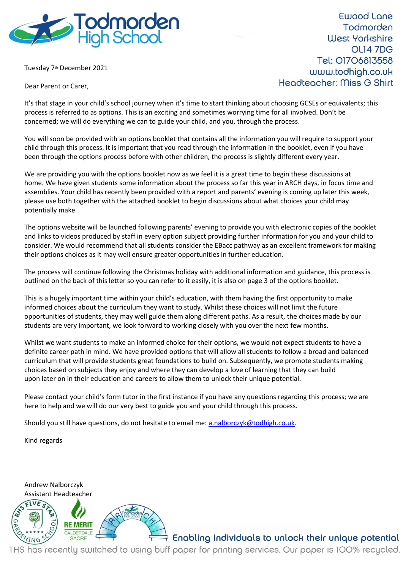

Tuesday 7<sup>th</sup> December 2021

Dear Parent or Carer,

**Ewood Lane** Todmorden **West Yorkshire OL14 7DG** Tel: 01706813558 www.todhigh.co.uk Headteacher: Miss G Shirt

It's that stage in your child's school journey when it's time to start thinking about choosing GCSEs or equivalents; this process is referred to as options. This is an exciting and sometimes worrying time for all involved. Don't be concerned; we will do everything we can to guide your child, and you, through the process.

You will soon be provided with an options booklet that contains all the information you will require to support your child through this process. It is important that you read through the information in the booklet, even if you have been through the options process before with other children, the process is slightly different every year.

We are providing you with the options booklet now as we feel it is a great time to begin these discussions at home. We have given students some information about the process so far this year in ARCH days, in focus time and assemblies. Your child has recently been provided with a report and parents' evening is coming up later this week, please use both together with the attached booklet to begin discussions about what choices your child may potentially make.

The options website will be launched following parents' evening to provide you with electronic copies of the booklet and links to videos produced by staff in every option subject providing further information for you and your child to consider. We would recommend that all students consider the EBacc pathway as an excellent framework for making their options choices as it may well ensure greater opportunities in further education.

The process will continue following the Christmas holiday with additional information and guidance, this process is outlined on the back of this letter so you can refer to it easily, it is also on page 3 of the options booklet.

This is a hugely important time within your child's education, with them having the first opportunity to make informed choices about the curriculum they want to study. Whilst these choices will not limit the future opportunities of students, they may well guide them along different paths. As a result, the choices made by our students are very important, we look forward to working closely with you over the next few months.

Whilst we want students to make an informed choice for their options, we would not expect students to have a definite career path in mind. We have provided options that will allow all students to follow a broad and balanced curriculum that will provide students great foundations to build on. Subsequently, we promote students making choices based on subjects they enjoy and where they can develop a love of learning that they can build upon later on in their education and careers to allow them to unlock their unique potential.

Please contact your child's form tutor in the first instance if you have any questions regarding this process; we are here to help and we will do our very best to guide you and your child through this process.

Should you still have questions, do not hesitate to email me: [a.nalborczyk@todhigh.co.uk.](mailto:a.nalborczyk@todhigh.co.uk)

Kind regards



Enabling individuals to unlock their unique potential

THS has recently switched to using buff paper for printing services. Our paper is 100% recycled.